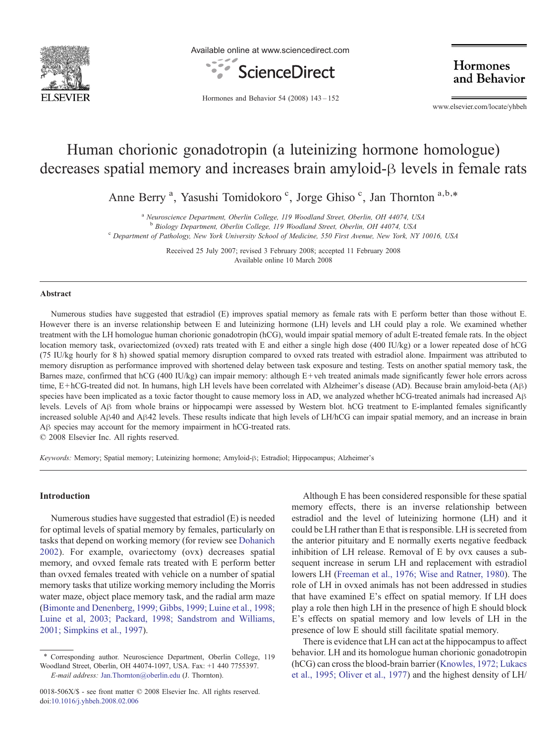

Available online at www.sciencedirect.com



Hormones and Behavior

Hormones and Behavior 54 (2008) 143–152

www.elsevier.com/locate/yhbeh

# Human chorionic gonadotropin (a luteinizing hormone homologue) decreases spatial memory and increases brain amyloid-β levels in female rats

Anne Berry<sup>a</sup>, Yasushi Tomidokoro<sup>c</sup>, Jorge Ghiso<sup>c</sup>, Jan Thornton<sup>a,b,\*</sup>

<sup>a</sup> Neuroscience Department, Oberlin College, 119 Woodland Street, Oberlin, OH 44074, USA<br><sup>b</sup> Biology Department, Oberlin College, 119 Woodland Street, Oberlin, OH 44074, USA

<sup>c</sup> Department of Pathology, New York University School of Medicine, 550 First Avenue, New York, NY 10016, USA

Received 25 July 2007; revised 3 February 2008; accepted 11 February 2008 Available online 10 March 2008

#### Abstract

Numerous studies have suggested that estradiol (E) improves spatial memory as female rats with E perform better than those without E. However there is an inverse relationship between E and luteinizing hormone (LH) levels and LH could play a role. We examined whether treatment with the LH homologue human chorionic gonadotropin (hCG), would impair spatial memory of adult E-treated female rats. In the object location memory task, ovariectomized (ovxed) rats treated with E and either a single high dose (400 IU/kg) or a lower repeated dose of hCG (75 IU/kg hourly for 8 h) showed spatial memory disruption compared to ovxed rats treated with estradiol alone. Impairment was attributed to memory disruption as performance improved with shortened delay between task exposure and testing. Tests on another spatial memory task, the Barnes maze, confirmed that  $hCG (400 IU/kg)$  can impair memory: although  $E+veh$  treated animals made significantly fewer hole errors across time, E + hCG-treated did not. In humans, high LH levels have been correlated with Alzheimer's disease (AD). Because brain amyloid-beta (Aβ) species have been implicated as a toxic factor thought to cause memory loss in AD, we analyzed whether hCG-treated animals had increased Aβ levels. Levels of Aβ from whole brains or hippocampi were assessed by Western blot. hCG treatment to E-implanted females significantly increased soluble Aβ40 and Aβ42 levels. These results indicate that high levels of LH/hCG can impair spatial memory, and an increase in brain Aβ species may account for the memory impairment in hCG-treated rats.

© 2008 Elsevier Inc. All rights reserved.

Keywords: Memory; Spatial memory; Luteinizing hormone; Amyloid-β; Estradiol; Hippocampus; Alzheimer's

### Introduction

Numerous studies have suggested that estradiol (E) is needed for optimal levels of spatial memory by females, particularly on tasks that depend on working memory (for review see [Dohanich](#page--1-0) [2002\)](#page--1-0). For example, ovariectomy (ovx) decreases spatial memory, and ovxed female rats treated with E perform better than ovxed females treated with vehicle on a number of spatial memory tasks that utilize working memory including the Morris water maze, object place memory task, and the radial arm maze ([Bimonte and Denenberg, 1999; Gibbs, 1999; Luine et al., 1998;](#page--1-0) [Luine et al, 2003; Packard, 1998; Sandstrom and Williams,](#page--1-0) [2001; Simpkins et al., 1997](#page--1-0)).

Although E has been considered responsible for these spatial memory effects, there is an inverse relationship between estradiol and the level of luteinizing hormone (LH) and it could be LH rather than E that is responsible. LH is secreted from the anterior pituitary and E normally exerts negative feedback inhibition of LH release. Removal of E by ovx causes a subsequent increase in serum LH and replacement with estradiol lowers LH ([Freeman et al., 1976; Wise and Ratner, 1980\)](#page--1-0). The role of LH in ovxed animals has not been addressed in studies that have examined E's effect on spatial memory. If LH does play a role then high LH in the presence of high E should block E's effects on spatial memory and low levels of LH in the presence of low E should still facilitate spatial memory.

There is evidence that LH can act at the hippocampus to affect behavior. LH and its homologue human chorionic gonadotropin (hCG) can cross the blood-brain barrier ([Knowles, 1972; Lukacs](#page--1-0) [et al., 1995; Oliver et al., 1977\)](#page--1-0) and the highest density of LH/

<sup>⁎</sup> Corresponding author. Neuroscience Department, Oberlin College, 119 Woodland Street, Oberlin, OH 44074-1097, USA. Fax: +1 440 7755397. E-mail address: [Jan.Thornton@oberlin.edu](mailto:Jan.Thornton@oberlin.edu) (J. Thornton).

<sup>0018-506</sup>X/\$ - see front matter © 2008 Elsevier Inc. All rights reserved. doi:[10.1016/j.yhbeh.2008.02.006](http://dx.doi.org/10.1016/j.yhbeh.2008.02.006)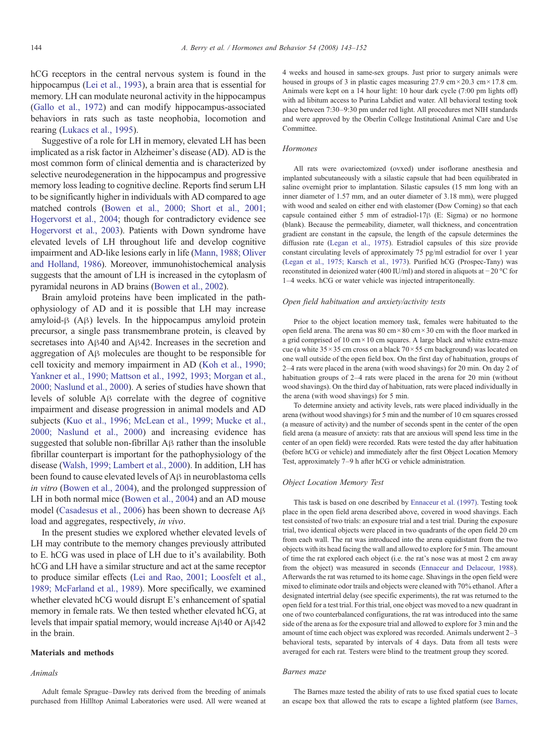hCG receptors in the central nervous system is found in the hippocampus ([Lei et al., 1993\)](#page--1-0), a brain area that is essential for memory. LH can modulate neuronal activity in the hippocampus ([Gallo et al., 1972\)](#page--1-0) and can modify hippocampus-associated behaviors in rats such as taste neophobia, locomotion and rearing ([Lukacs et al., 1995](#page--1-0)).

Suggestive of a role for LH in memory, elevated LH has been implicated as a risk factor in Alzheimer's disease (AD). AD is the most common form of clinical dementia and is characterized by selective neurodegeneration in the hippocampus and progressive memory loss leading to cognitive decline. Reports find serum LH to be significantly higher in individuals with AD compared to age matched controls ([Bowen et al., 2000; Short et al., 2001;](#page--1-0) [Hogervorst et al., 2004;](#page--1-0) though for contradictory evidence see [Hogervorst et al., 2003\)](#page--1-0). Patients with Down syndrome have elevated levels of LH throughout life and develop cognitive impairment and AD-like lesions early in life [\(Mann, 1988; Oliver](#page--1-0) [and Holland, 1986](#page--1-0)). Moreover, immunohistochemical analysis suggests that the amount of LH is increased in the cytoplasm of pyramidal neurons in AD brains ([Bowen et al., 2002\)](#page--1-0).

Brain amyloid proteins have been implicated in the pathophysiology of AD and it is possible that LH may increase amyloid-β (Aβ) levels. In the hippocampus amyloid protein precursor, a single pass transmembrane protein, is cleaved by secretases into Aβ40 and Aβ42. Increases in the secretion and aggregation of Aβ molecules are thought to be responsible for cell toxicity and memory impairment in AD ([Koh et al., 1990;](#page--1-0) [Yankner et al., 1990; Mattson et al., 1992, 1993; Morgan et al.,](#page--1-0) [2000; Naslund et al., 2000\)](#page--1-0). A series of studies have shown that levels of soluble Aβ correlate with the degree of cognitive impairment and disease progression in animal models and AD subjects ([Kuo et al., 1996; McLean et al., 1999; Mucke et al.,](#page--1-0) [2000; Naslund et al., 2000](#page--1-0)) and increasing evidence has suggested that soluble non-fibrillar Aβ rather than the insoluble fibrillar counterpart is important for the pathophysiology of the disease ([Walsh, 1999; Lambert et al., 2000\)](#page--1-0). In addition, LH has been found to cause elevated levels of Aβ in neuroblastoma cells in vitro [\(Bowen et al., 2004\)](#page--1-0), and the prolonged suppression of LH in both normal mice [\(Bowen et al., 2004](#page--1-0)) and an AD mouse model [\(Casadesus et al., 2006\)](#page--1-0) has been shown to decrease Aβ load and aggregates, respectively, in vivo.

In the present studies we explored whether elevated levels of LH may contribute to the memory changes previously attributed to E. hCG was used in place of LH due to it's availability. Both hCG and LH have a similar structure and act at the same receptor to produce similar effects [\(Lei and Rao, 2001; Loosfelt et al.,](#page--1-0) [1989; McFarland et al., 1989\)](#page--1-0). More specifically, we examined whether elevated hCG would disrupt E's enhancement of spatial memory in female rats. We then tested whether elevated hCG, at levels that impair spatial memory, would increase Aβ40 or Aβ42 in the brain.

#### Materials and methods

### Animals

Adult female Sprague–Dawley rats derived from the breeding of animals purchased from Hillltop Animal Laboratories were used. All were weaned at 4 weeks and housed in same-sex groups. Just prior to surgery animals were housed in groups of 3 in plastic cages measuring 27.9 cm  $\times$  20.3 cm  $\times$  17.8 cm. Animals were kept on a 14 hour light: 10 hour dark cycle (7:00 pm lights off) with ad libitum access to Purina Labdiet and water. All behavioral testing took place between 7:30–9:30 pm under red light. All procedures met NIH standards and were approved by the Oberlin College Institutional Animal Care and Use Committee.

#### **Hormones**

All rats were ovariectomized (ovxed) under isoflorane anesthesia and implanted subcutaneously with a silastic capsule that had been equilibrated in saline overnight prior to implantation. Silastic capsules (15 mm long with an inner diameter of 1.57 mm, and an outer diameter of 3.18 mm), were plugged with wood and sealed on either end with elastomer (Dow Corning) so that each capsule contained either 5 mm of estradiol-17β (E: Sigma) or no hormone (blank). Because the permeability, diameter, wall thickness, and concentration gradient are constant in the capsule, the length of the capsule determines the diffusion rate [\(Legan et al., 1975](#page--1-0)). Estradiol capsules of this size provide constant circulating levels of approximately 75 pg/ml estradiol for over 1 year [\(Legan et al., 1975; Karsch et al., 1973](#page--1-0)). Purified hCG (Prospec-Tany) was reconstituted in deionized water (400 IU/ml) and stored in aliquots at −20 °C for 1–4 weeks. hCG or water vehicle was injected intraperitoneally.

#### Open field habituation and anxiety/activity tests

Prior to the object location memory task, females were habituated to the open field arena. The arena was 80 cm × 80 cm × 30 cm with the floor marked in a grid comprised of 10 cm  $\times$  10 cm squares. A large black and white extra-maze cue (a white  $35 \times 35$  cm cross on a black  $70 \times 55$  cm background) was located on one wall outside of the open field box. On the first day of habituation, groups of 2–4 rats were placed in the arena (with wood shavings) for 20 min. On day 2 of habituation groups of 2–4 rats were placed in the arena for 20 min (without wood shavings). On the third day of habituation, rats were placed individually in the arena (with wood shavings) for 5 min.

To determine anxiety and activity levels, rats were placed individually in the arena (without wood shavings) for 5 min and the number of 10 cm squares crossed (a measure of activity) and the number of seconds spent in the center of the open field arena (a measure of anxiety: rats that are anxious will spend less time in the center of an open field) were recorded. Rats were tested the day after habituation (before hCG or vehicle) and immediately after the first Object Location Memory Test, approximately 7–9 h after hCG or vehicle administration.

#### Object Location Memory Test

This task is based on one described by [Ennaceur et al. \(1997\)](#page--1-0). Testing took place in the open field arena described above, covered in wood shavings. Each test consisted of two trials: an exposure trial and a test trial. During the exposure trial, two identical objects were placed in two quadrants of the open field 20 cm from each wall. The rat was introduced into the arena equidistant from the two objects with its head facing the wall and allowed to explore for 5 min. The amount of time the rat explored each object (i.e. the rat's nose was at most 2 cm away from the object) was measured in seconds ([Ennaceur and Delacour, 1988](#page--1-0)). Afterwards the rat was returned to its home cage. Shavings in the open field were mixed to eliminate odor trails and objects were cleaned with 70% ethanol. After a designated intertrial delay (see specific experiments), the rat was returned to the open field for a test trial. For this trial, one object was moved to a new quadrant in one of two counterbalanced configurations, the rat was introduced into the same side of the arena as for the exposure trial and allowed to explore for 3 min and the amount of time each object was explored was recorded. Animals underwent 2–3 behavioral tests, separated by intervals of 4 days. Data from all tests were averaged for each rat. Testers were blind to the treatment group they scored.

#### Barnes maze

The Barnes maze tested the ability of rats to use fixed spatial cues to locate an escape box that allowed the rats to escape a lighted platform (see [Barnes,](#page--1-0)